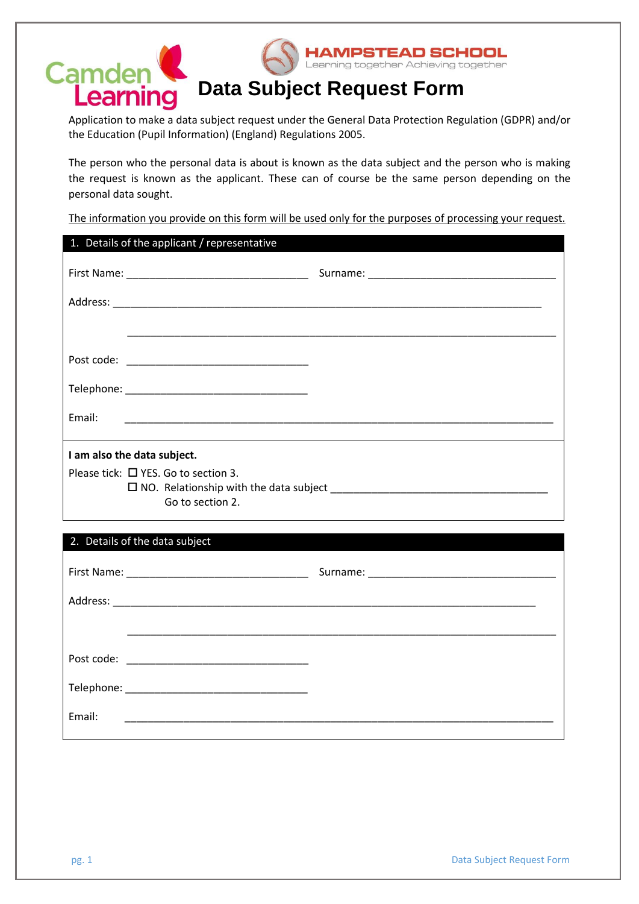

Application to make a data subject request under the General Data Protection Regulation (GDPR) and/or the Education (Pupil Information) (England) Regulations 2005.

The person who the personal data is about is known as the data subject and the person who is making the request is known as the applicant. These can of course be the same person depending on the personal data sought.

The information you provide on this form will be used only for the purposes of processing your request.

|                                                          | 1. Details of the applicant / representative                |  |  |  |  |
|----------------------------------------------------------|-------------------------------------------------------------|--|--|--|--|
|                                                          |                                                             |  |  |  |  |
|                                                          |                                                             |  |  |  |  |
|                                                          | <u> 1989 - Johann Stoff, amerikansk politiker (d. 1989)</u> |  |  |  |  |
|                                                          |                                                             |  |  |  |  |
|                                                          |                                                             |  |  |  |  |
| Email:                                                   |                                                             |  |  |  |  |
| I am also the data subject.                              |                                                             |  |  |  |  |
| Please tick: □ YES. Go to section 3.<br>Go to section 2. |                                                             |  |  |  |  |
|                                                          | 2. Details of the data subject                              |  |  |  |  |
|                                                          |                                                             |  |  |  |  |
|                                                          |                                                             |  |  |  |  |
|                                                          |                                                             |  |  |  |  |
|                                                          |                                                             |  |  |  |  |
|                                                          |                                                             |  |  |  |  |
| Email:                                                   |                                                             |  |  |  |  |
|                                                          |                                                             |  |  |  |  |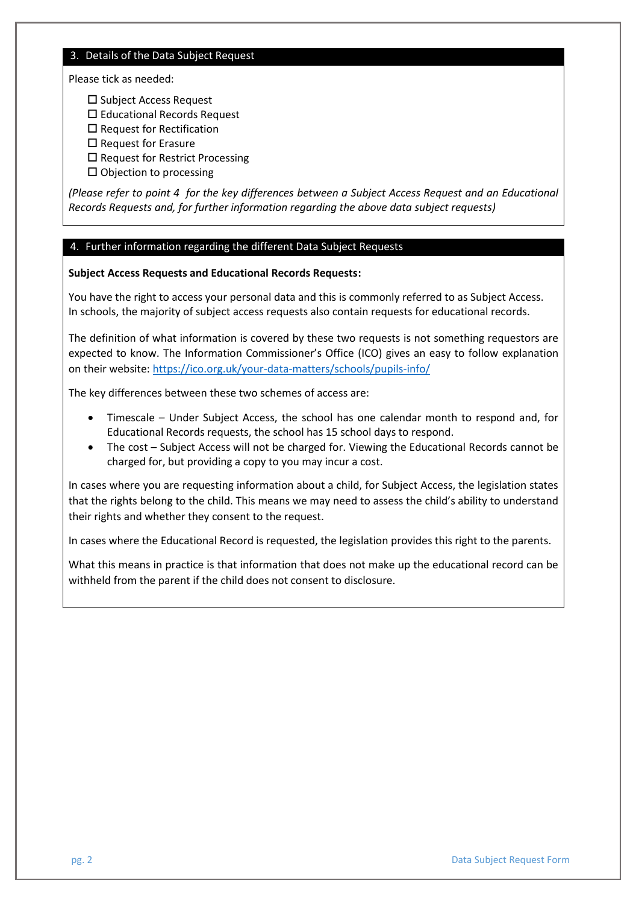#### 3. Details of the Data Subject Request

Please tick as needed:

- □ Subject Access Request
- □ Educational Records Request
- $\square$  Request for Rectification
- $\square$  Request for Erasure
- $\square$  Request for Restrict Processing
- $\square$  Objection to processing

*(Please refer to point 4 for the key differences between a Subject Access Request and an Educational Records Requests and, for further information regarding the above data subject requests)*

### 4. Further information regarding the different Data Subject Requests

### **Subject Access Requests and Educational Records Requests:**

You have the right to access your personal data and this is commonly referred to as Subject Access. In schools, the majority of subject access requests also contain requests for educational records.

The definition of what information is covered by these two requests is not something requestors are expected to know. The Information Commissioner's Office (ICO) gives an easy to follow explanation on their website:<https://ico.org.uk/your-data-matters/schools/pupils-info/>

The key differences between these two schemes of access are:

- Timescale Under Subject Access, the school has one calendar month to respond and, for Educational Records requests, the school has 15 school days to respond.
- The cost Subject Access will not be charged for. Viewing the Educational Records cannot be charged for, but providing a copy to you may incur a cost.

In cases where you are requesting information about a child, for Subject Access, the legislation states that the rights belong to the child. This means we may need to assess the child's ability to understand their rights and whether they consent to the request.

In cases where the Educational Record is requested, the legislation provides this right to the parents.

What this means in practice is that information that does not make up the educational record can be withheld from the parent if the child does not consent to disclosure.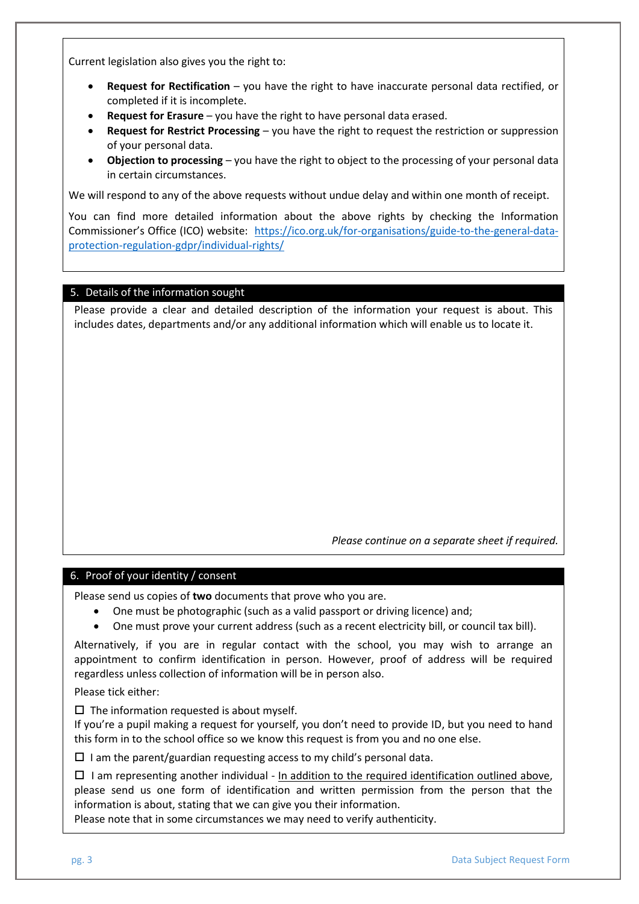Current legislation also gives you the right to:

- **Request for Rectification** you have the right to have inaccurate personal data rectified, or completed if it is incomplete.
- **Request for Erasure** you have the right to have personal data erased.
- **Request for Restrict Processing** you have the right to request the restriction or suppression of your personal data.
- **Objection to processing** you have the right to object to the processing of your personal data in certain circumstances.

We will respond to any of the above requests without undue delay and within one month of receipt.

You can find more detailed information about the above rights by checking the Information Commissioner's Office (ICO) website: [https://ico.org.uk/for-organisations/guide-to-the-general-data](https://ico.org.uk/for-organisations/guide-to-the-general-data-protection-regulation-gdpr/individual-rights/)[protection-regulation-gdpr/individual-rights/](https://ico.org.uk/for-organisations/guide-to-the-general-data-protection-regulation-gdpr/individual-rights/)

# 5. Details of the information sought

Please provide a clear and detailed description of the information your request is about. This includes dates, departments and/or any additional information which will enable us to locate it.

*Please continue on a separate sheet if required.*

# 6. Proof of your identity / consent

Please send us copies of **two** documents that prove who you are.

- One must be photographic (such as a valid passport or driving licence) and;
- One must prove your current address (such as a recent electricity bill, or council tax bill).

Alternatively, if you are in regular contact with the school, you may wish to arrange an appointment to confirm identification in person. However, proof of address will be required regardless unless collection of information will be in person also.

Please tick either:

 $\square$  The information requested is about myself.

If you're a pupil making a request for yourself, you don't need to provide ID, but you need to hand this form in to the school office so we know this request is from you and no one else.

 $\square$  I am the parent/guardian requesting access to my child's personal data.

 $\Box$  I am representing another individual - In addition to the required identification outlined above, please send us one form of identification and written permission from the person that the information is about, stating that we can give you their information.

Please note that in some circumstances we may need to verify authenticity.